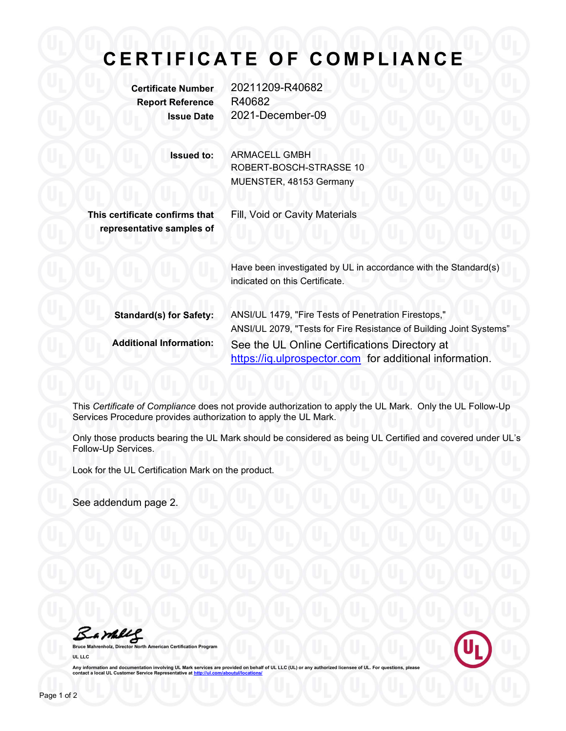## CERTIFICATE OF COMPLIANCE

Report Reference R40682

Certificate Number 20211209-R40682 Issue Date 2021-December-09

Issued to: ARMACELL GMBH ROBERT-BOSCH-STRASSE 10 MUENSTER, 48153 Germany

This certificate confirms that representative samples of Fill, Void or Cavity Materials

Have been investigated by UL in accordance with the Standard(s) indicated on this Certificate.

| <b>Standard(s) for Safety:</b> | ANSI/UL 1479, "Fire Tests of Penetration Firestops,"                |
|--------------------------------|---------------------------------------------------------------------|
|                                | ANSI/UL 2079, "Tests for Fire Resistance of Building Joint Systems" |
| <b>Additional Information:</b> | See the UL Online Certifications Directory at                       |
|                                | https://iq.ulprospector.com for additional information.             |

This Certificate of Compliance does not provide authorization to apply the UL Mark. Only the UL Follow-Up Services Procedure provides authorization to apply the UL Mark.

Only those products bearing the UL Mark should be considered as being UL Certified and covered under UL's Follow-Up Services.

Look for the UL Certification Mark on the product.

See addendum page 2.

Bamblet

th American Certification Program UL LLC



Any information and documentation involving UL Mark services are provided on behalf of UL LLC (UL) or any authorized licensee of UL. For questions, please<br>contact a local UL Customer Service Representative at <u>http://ul.co</u>